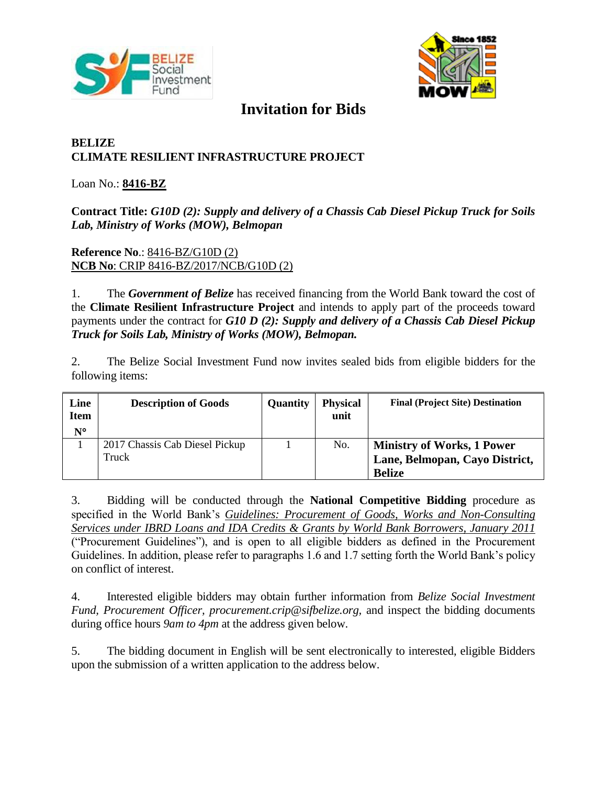



# **Invitation for Bids**

## **BELIZE CLIMATE RESILIENT INFRASTRUCTURE PROJECT**

#### Loan No.: **8416-BZ**

### **Contract Title:** *G10D (2): Supply and delivery of a Chassis Cab Diesel Pickup Truck for Soils Lab, Ministry of Works (MOW), Belmopan*

#### **Reference No**.: 8416-BZ/G10D (2) **NCB No**: CRIP 8416-BZ/2017/NCB/G10D (2)

1. The *Government of Belize* has received financing from the World Bank toward the cost of the **Climate Resilient Infrastructure Project** and intends to apply part of the proceeds toward payments under the contract for *G10 D (2): Supply and delivery of a Chassis Cab Diesel Pickup Truck for Soils Lab, Ministry of Works (MOW), Belmopan.*

2. The Belize Social Investment Fund now invites sealed bids from eligible bidders for the following items:

| Line<br><b>Item</b><br>$N^{\circ}$ | <b>Description of Goods</b>             | Quantity | <b>Physical</b><br>unit | <b>Final (Project Site) Destination</b>                                              |
|------------------------------------|-----------------------------------------|----------|-------------------------|--------------------------------------------------------------------------------------|
|                                    | 2017 Chassis Cab Diesel Pickup<br>Truck |          | No.                     | <b>Ministry of Works, 1 Power</b><br>Lane, Belmopan, Cayo District,<br><b>Belize</b> |

3. Bidding will be conducted through the **National Competitive Bidding** procedure as specified in the World Bank's *[Guidelines: Procurement of Goods, Works and Non-Consulting](http://www.worldbank.org/html/opr/procure/guidelin.html)  [Services under IBRD Loans and IDA Credits & Grants by World Bank Borrowers, January 2011](http://www.worldbank.org/html/opr/procure/guidelin.html)* ("Procurement Guidelines"), and is open to all eligible bidders as defined in the Procurement Guidelines. In addition, please refer to paragraphs 1.6 and 1.7 setting forth the World Bank's policy on conflict of interest.

4. Interested eligible bidders may obtain further information from *Belize Social Investment Fund, Procurement Officer, procurement.crip@sifbelize.org,* and inspect the bidding documents during office hours *9am to 4pm* at the address given below.

5. The bidding document in English will be sent electronically to interested, eligible Bidders upon the submission of a written application to the address below.